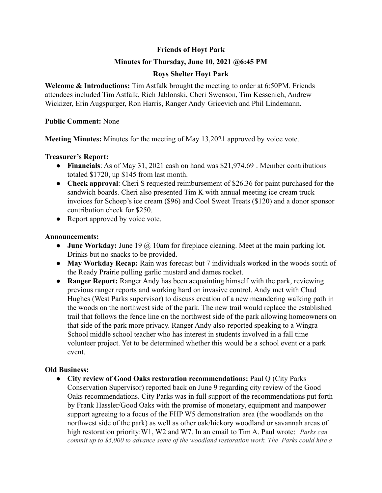# **Friends of Hoyt Park**

## **Minutes for Thursday, June 10, 2021 @6:45 PM**

# **Roys Shelter Hoyt Park**

**Welcome & Introductions:** Tim Astfalk brought the meeting to order at 6:50PM. Friends attendees included Tim Astfalk, Rich Jablonski, Cheri Swenson, Tim Kessenich, Andrew Wickizer, Erin Augspurger, Ron Harris, Ranger Andy Gricevich and Phil Lindemann.

### **Public Comment:** None

**Meeting Minutes:** Minutes for the meeting of May 13,2021 approved by voice vote.

### **Treasurer's Report:**

- **Financials**: As of May 31, 2021 cash on hand was \$21,974.69 . Member contributions totaled \$1720, up \$145 from last month.
- **Check approval**: Cheri S requested reimbursement of \$26.36 for paint purchased for the sandwich boards. Cheri also presented Tim K with annual meeting ice cream truck invoices for Schoep's ice cream (\$96) and Cool Sweet Treats (\$120) and a donor sponsor contribution check for \$250.
- Report approved by voice vote.

### **Announcements:**

- **● June Workday:** June 19 @ 10am for fireplace cleaning. Meet at the main parking lot. Drinks but no snacks to be provided.
- **● May Workday Recap:** Rain was forecast but 7 individuals worked in the woods south of the Ready Prairie pulling garlic mustard and dames rocket.
- **● Ranger Report:** Ranger Andy has been acquainting himself with the park, reviewing previous ranger reports and working hard on invasive control. Andy met with Chad Hughes (West Parks supervisor) to discuss creation of a new meandering walking path in the woods on the northwest side of the park. The new trail would replace the established trail that follows the fence line on the northwest side of the park allowing homeowners on that side of the park more privacy. Ranger Andy also reported speaking to a Wingra School middle school teacher who has interest in students involved in a fall time volunteer project. Yet to be determined whether this would be a school event or a park event.

### **Old Business:**

**● City review of Good Oaks restoration recommendations:** Paul Q (City Parks Conservation Supervisor) reported back on June 9 regarding city review of the Good Oaks recommendations. City Parks was in full support of the recommendations put forth by Frank Hassler/Good Oaks with the promise of monetary, equipment and manpower support agreeing to a focus of the FHP W5 demonstration area (the woodlands on the northwest side of the park) as well as other oak/hickory woodland or savannah areas of high restoration priority:W1, W2 and W7. In an email to Tim A. Paul wrote: *Parks can commit up to \$5,000 to advance some of the woodland restoration work. The Parks could hire a*